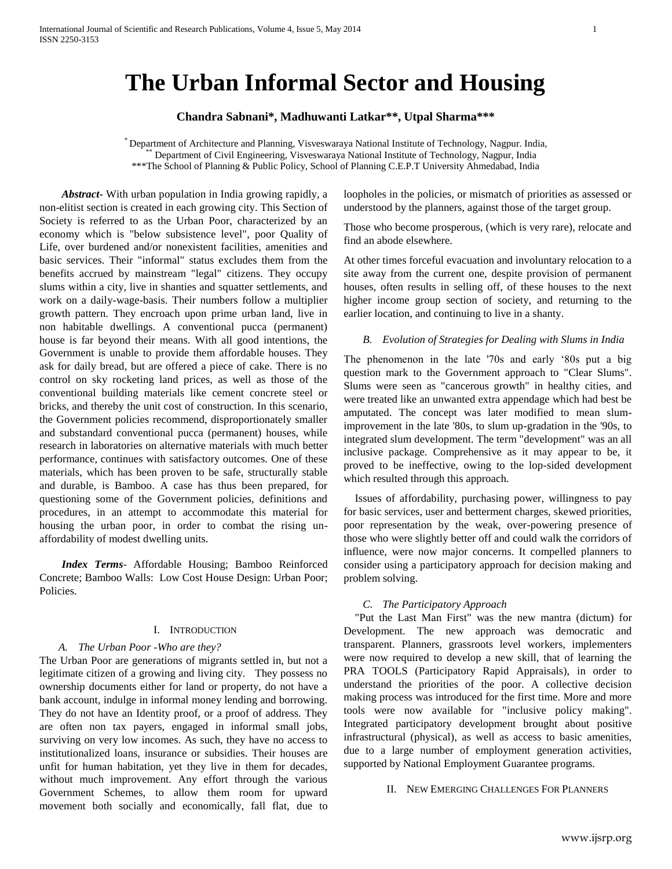# **The Urban Informal Sector and Housing**

**Chandra Sabnani\*, Madhuwanti Latkar\*\*, Utpal Sharma\*\*\*** 

\* Department of Architecture and Planning, Visveswaraya National Institute of Technology, Nagpur. India, \*\* Department of Civil Engineering, Visveswaraya National Institute of Technology, Nagpur, India \*\*\*The School of Planning & Public Policy, School of Planning C.E.P.T University Ahmedabad, India

 *Abstract***-** With urban population in India growing rapidly, a non-elitist section is created in each growing city. This Section of Society is referred to as the Urban Poor, characterized by an economy which is "below subsistence level", poor Quality of Life, over burdened and/or nonexistent facilities, amenities and basic services. Their "informal" status excludes them from the benefits accrued by mainstream "legal" citizens. They occupy slums within a city, live in shanties and squatter settlements, and work on a daily-wage-basis. Their numbers follow a multiplier growth pattern. They encroach upon prime urban land, live in non habitable dwellings. A conventional pucca (permanent) house is far beyond their means. With all good intentions, the Government is unable to provide them affordable houses. They ask for daily bread, but are offered a piece of cake. There is no control on sky rocketing land prices, as well as those of the conventional building materials like cement concrete steel or bricks, and thereby the unit cost of construction. In this scenario, the Government policies recommend, disproportionately smaller and substandard conventional pucca (permanent) houses, while research in laboratories on alternative materials with much better performance, continues with satisfactory outcomes. One of these materials, which has been proven to be safe, structurally stable and durable, is Bamboo. A case has thus been prepared, for questioning some of the Government policies, definitions and procedures, in an attempt to accommodate this material for housing the urban poor, in order to combat the rising unaffordability of modest dwelling units.

 *Index Terms*- Affordable Housing; Bamboo Reinforced Concrete; Bamboo Walls: Low Cost House Design: Urban Poor; Policies.

#### I. INTRODUCTION

#### *A. The Urban Poor -Who are they?*

The Urban Poor are generations of migrants settled in, but not a legitimate citizen of a growing and living city. They possess no ownership documents either for land or property, do not have a bank account, indulge in informal money lending and borrowing. They do not have an Identity proof, or a proof of address. They are often non tax payers, engaged in informal small jobs, surviving on very low incomes. As such, they have no access to institutionalized loans, insurance or subsidies. Their houses are unfit for human habitation, yet they live in them for decades, without much improvement. Any effort through the various Government Schemes, to allow them room for upward movement both socially and economically, fall flat, due to

loopholes in the policies, or mismatch of priorities as assessed or understood by the planners, against those of the target group.

Those who become prosperous, (which is very rare), relocate and find an abode elsewhere.

At other times forceful evacuation and involuntary relocation to a site away from the current one, despite provision of permanent houses, often results in selling off, of these houses to the next higher income group section of society, and returning to the earlier location, and continuing to live in a shanty.

#### *B. Evolution of Strategies for Dealing with Slums in India*

The phenomenon in the late '70s and early '80s put a big question mark to the Government approach to "Clear Slums". Slums were seen as "cancerous growth" in healthy cities, and were treated like an unwanted extra appendage which had best be amputated. The concept was later modified to mean slumimprovement in the late '80s, to slum up-gradation in the '90s, to integrated slum development. The term "development" was an all inclusive package. Comprehensive as it may appear to be, it proved to be ineffective, owing to the lop-sided development which resulted through this approach.

Issues of affordability, purchasing power, willingness to pay for basic services, user and betterment charges, skewed priorities, poor representation by the weak, over-powering presence of those who were slightly better off and could walk the corridors of influence, were now major concerns. It compelled planners to consider using a participatory approach for decision making and problem solving.

#### *C. The Participatory Approach*

"Put the Last Man First" was the new mantra (dictum) for Development. The new approach was democratic and transparent. Planners, grassroots level workers, implementers were now required to develop a new skill, that of learning the PRA TOOLS (Participatory Rapid Appraisals), in order to understand the priorities of the poor. A collective decision making process was introduced for the first time. More and more tools were now available for "inclusive policy making". Integrated participatory development brought about positive infrastructural (physical), as well as access to basic amenities, due to a large number of employment generation activities, supported by National Employment Guarantee programs.

II. NEW EMERGING CHALLENGES FOR PLANNERS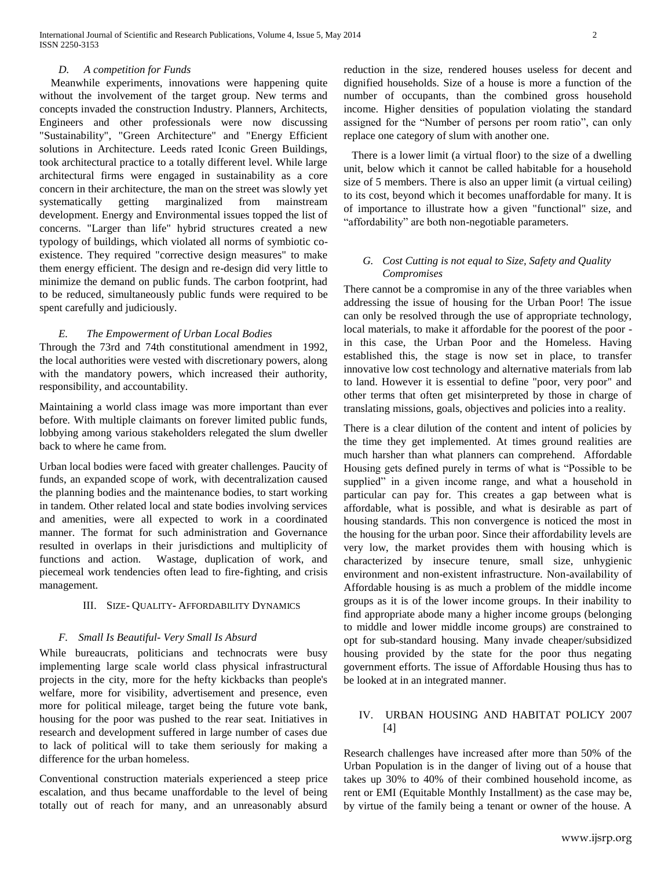# *D. A competition for Funds*

Meanwhile experiments, innovations were happening quite without the involvement of the target group. New terms and concepts invaded the construction Industry. Planners, Architects, Engineers and other professionals were now discussing "Sustainability", "Green Architecture" and "Energy Efficient solutions in Architecture. Leeds rated Iconic Green Buildings, took architectural practice to a totally different level. While large architectural firms were engaged in sustainability as a core concern in their architecture, the man on the street was slowly yet systematically getting marginalized from mainstream development. Energy and Environmental issues topped the list of concerns. "Larger than life" hybrid structures created a new typology of buildings, which violated all norms of symbiotic coexistence. They required "corrective design measures" to make them energy efficient. The design and re-design did very little to minimize the demand on public funds. The carbon footprint, had to be reduced, simultaneously public funds were required to be spent carefully and judiciously.

# *E. The Empowerment of Urban Local Bodies*

Through the 73rd and 74th constitutional amendment in 1992, the local authorities were vested with discretionary powers, along with the mandatory powers, which increased their authority, responsibility, and accountability.

Maintaining a world class image was more important than ever before. With multiple claimants on forever limited public funds, lobbying among various stakeholders relegated the slum dweller back to where he came from.

Urban local bodies were faced with greater challenges. Paucity of funds, an expanded scope of work, with decentralization caused the planning bodies and the maintenance bodies, to start working in tandem. Other related local and state bodies involving services and amenities, were all expected to work in a coordinated manner. The format for such administration and Governance resulted in overlaps in their jurisdictions and multiplicity of functions and action. Wastage, duplication of work, and piecemeal work tendencies often lead to fire-fighting, and crisis management.

#### III. SIZE- QUALITY- AFFORDABILITY DYNAMICS

# *F. Small Is Beautiful- Very Small Is Absurd*

While bureaucrats, politicians and technocrats were busy implementing large scale world class physical infrastructural projects in the city, more for the hefty kickbacks than people's welfare, more for visibility, advertisement and presence, even more for political mileage, target being the future vote bank, housing for the poor was pushed to the rear seat. Initiatives in research and development suffered in large number of cases due to lack of political will to take them seriously for making a difference for the urban homeless.

Conventional construction materials experienced a steep price escalation, and thus became unaffordable to the level of being totally out of reach for many, and an unreasonably absurd

reduction in the size, rendered houses useless for decent and dignified households. Size of a house is more a function of the number of occupants, than the combined gross household income. Higher densities of population violating the standard assigned for the "Number of persons per room ratio", can only replace one category of slum with another one.

 There is a lower limit (a virtual floor) to the size of a dwelling unit, below which it cannot be called habitable for a household size of 5 members. There is also an upper limit (a virtual ceiling) to its cost, beyond which it becomes unaffordable for many. It is of importance to illustrate how a given "functional" size, and "affordability" are both non-negotiable parameters.

# *G. Cost Cutting is not equal to Size, Safety and Quality Compromises*

There cannot be a compromise in any of the three variables when addressing the issue of housing for the Urban Poor! The issue can only be resolved through the use of appropriate technology, local materials, to make it affordable for the poorest of the poor in this case, the Urban Poor and the Homeless. Having established this, the stage is now set in place, to transfer innovative low cost technology and alternative materials from lab to land. However it is essential to define "poor, very poor" and other terms that often get misinterpreted by those in charge of translating missions, goals, objectives and policies into a reality.

There is a clear dilution of the content and intent of policies by the time they get implemented. At times ground realities are much harsher than what planners can comprehend. Affordable Housing gets defined purely in terms of what is "Possible to be supplied" in a given income range, and what a household in particular can pay for. This creates a gap between what is affordable, what is possible, and what is desirable as part of housing standards. This non convergence is noticed the most in the housing for the urban poor. Since their affordability levels are very low, the market provides them with housing which is characterized by insecure tenure, small size, unhygienic environment and non-existent infrastructure. Non-availability of Affordable housing is as much a problem of the middle income groups as it is of the lower income groups. In their inability to find appropriate abode many a higher income groups (belonging to middle and lower middle income groups) are constrained to opt for sub-standard housing. Many invade cheaper/subsidized housing provided by the state for the poor thus negating government efforts. The issue of Affordable Housing thus has to be looked at in an integrated manner.

# IV. URBAN HOUSING AND HABITAT POLICY 2007 [4]

Research challenges have increased after more than 50% of the Urban Population is in the danger of living out of a house that takes up 30% to 40% of their combined household income, as rent or EMI (Equitable Monthly Installment) as the case may be, by virtue of the family being a tenant or owner of the house. A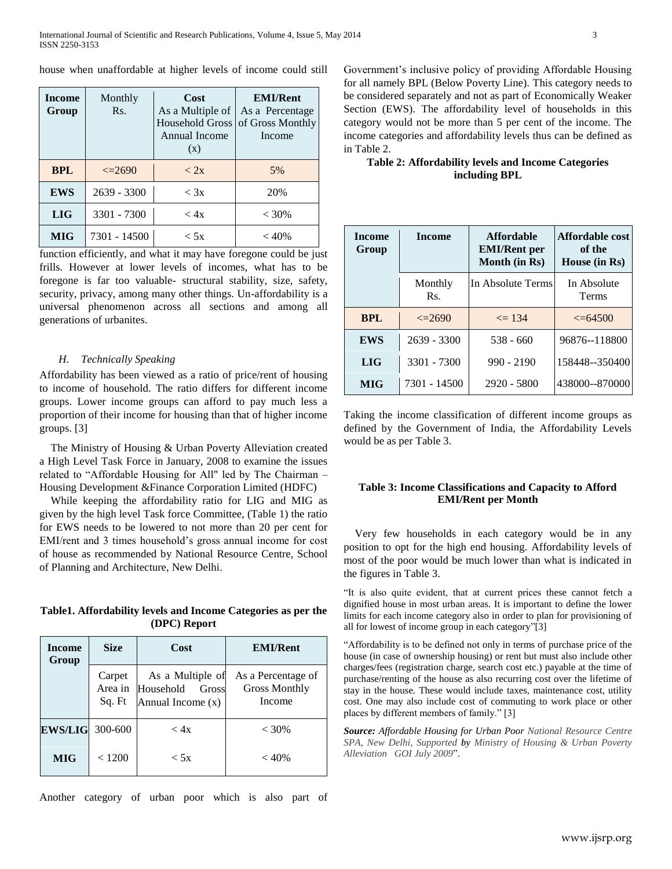house when unaffordable at higher levels of income could still

| <b>Income</b><br>Group | Monthly<br>Rs. | Cost<br>As a Multiple of<br>Household Gross<br>Annual Income<br>(x) | <b>EMI/Rent</b><br>As a Percentage<br>of Gross Monthly<br>Income |  |
|------------------------|----------------|---------------------------------------------------------------------|------------------------------------------------------------------|--|
| <b>BPL</b>             | $\leq$ 2690    | < 2x                                                                | 5%                                                               |  |
| <b>EWS</b>             | $2639 - 3300$  | $<$ 3x                                                              | 20%                                                              |  |
| <b>LIG</b>             | 3301 - 7300    | < 4x                                                                | $< 30\%$                                                         |  |
| <b>MIG</b>             | 7301 - 14500   | < 5x                                                                | $<$ 40%                                                          |  |

function efficiently, and what it may have foregone could be just frills. However at lower levels of incomes, what has to be foregone is far too valuable- structural stability, size, safety, security, privacy, among many other things. Un-affordability is a universal phenomenon across all sections and among all generations of urbanites.

#### *H. Technically Speaking*

Affordability has been viewed as a ratio of price/rent of housing to income of household. The ratio differs for different income groups. Lower income groups can afford to pay much less a proportion of their income for housing than that of higher income groups. [3]

The Ministry of Housing & Urban Poverty Alleviation created a High Level Task Force in January, 2008 to examine the issues related to "Affordable Housing for All" led by The Chairman – Housing Development &Finance Corporation Limited (HDFC)

While keeping the affordability ratio for LIG and MIG as given by the high level Task force Committee, (Table 1) the ratio for EWS needs to be lowered to not more than 20 per cent for EMI/rent and 3 times household's gross annual income for cost of house as recommended by National Resource Centre, School of Planning and Architecture, New Delhi.

#### **Table1. Affordability levels and Income Categories as per the (DPC) Report**

| <b>Income</b><br>Group | <b>Size</b>                 | Cost                                                          | <b>EMI/Rent</b>                                      |
|------------------------|-----------------------------|---------------------------------------------------------------|------------------------------------------------------|
|                        | Carpet<br>Area in<br>Sq. Ft | As a Multiple of<br>Household<br>Gross<br>Annual Income $(x)$ | As a Percentage of<br><b>Gross Monthly</b><br>Income |
| <b>EWS/LIG</b>         | 300-600                     | < 4x                                                          | $< 30\%$                                             |
| <b>MIG</b>             | < 1200                      | < 5x                                                          | $<$ 40%                                              |

Another category of urban poor which is also part of

Government's inclusive policy of providing Affordable Housing for all namely BPL (Below Poverty Line). This category needs to be considered separately and not as part of Economically Weaker Section (EWS). The affordability level of households in this category would not be more than 5 per cent of the income. The income categories and affordability levels thus can be defined as in Table 2.

# **Table 2: Affordability levels and Income Categories including BPL**

| <b>Income</b><br><b>Income</b><br>Group |                | <b>Affordable</b><br><b>EMI/Rent per</b><br>Month (in Rs) | Affordable cost<br>of the<br>House (in Rs) |  |
|-----------------------------------------|----------------|-----------------------------------------------------------|--------------------------------------------|--|
|                                         | Monthly<br>Rs. | In Absolute Terms                                         | In Absolute<br>Terms                       |  |
| <b>BPL</b>                              | $\leq$ 2690    | $\leq$ 134                                                | $\leq 64500$                               |  |
| <b>EWS</b>                              | $2639 - 3300$  | $538 - 660$                                               | 96876--118800                              |  |
| <b>LIG</b>                              | 3301 - 7300    | $990 - 2190$                                              | 158448--350400                             |  |
| <b>MIG</b>                              | 7301 - 14500   | 2920 - 5800                                               | 438000--870000                             |  |

Taking the income classification of different income groups as defined by the Government of India, the Affordability Levels would be as per Table 3.

# **Table 3: Income Classifications and Capacity to Afford EMI/Rent per Month**

Very few households in each category would be in any position to opt for the high end housing. Affordability levels of most of the poor would be much lower than what is indicated in the figures in Table 3.

"It is also quite evident, that at current prices these cannot fetch a dignified house in most urban areas. It is important to define the lower limits for each income category also in order to plan for provisioning of all for lowest of income group in each category"[3]

"Affordability is to be defined not only in terms of purchase price of the house (in case of ownership housing) or rent but must also include other charges/fees (registration charge, search cost etc.) payable at the time of purchase/renting of the house as also recurring cost over the lifetime of stay in the house. These would include taxes, maintenance cost, utility cost. One may also include cost of commuting to work place or other places by different members of family." [3]

*Source: Affordable Housing for Urban Poor National Resource Centre SPA, New Delhi, Supported by Ministry of Housing & Urban Poverty Alleviation GOI July 2009*".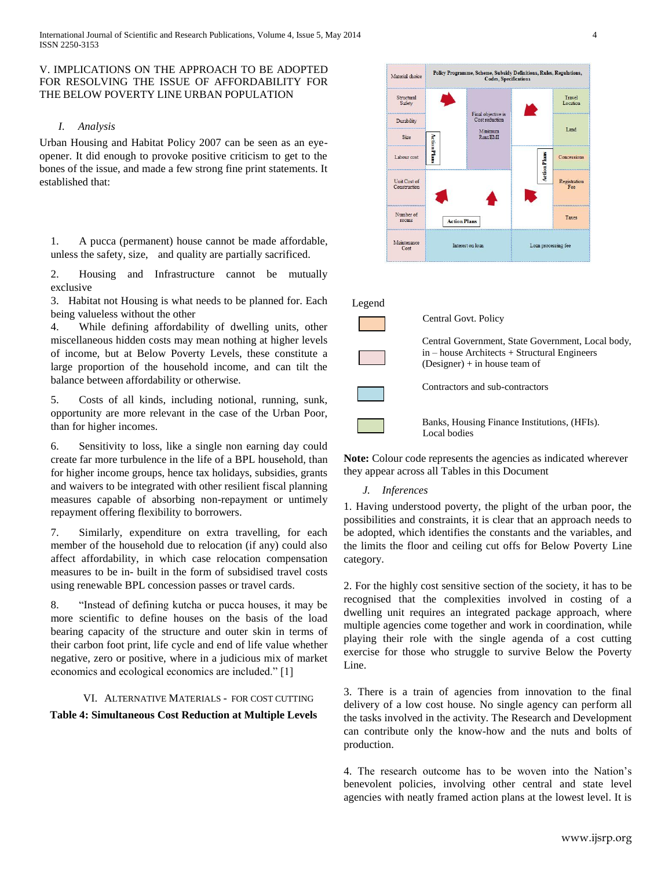# V. IMPLICATIONS ON THE APPROACH TO BE ADOPTED FOR RESOLVING THE ISSUE OF AFFORDABILITY FOR THE BELOW POVERTY LINE URBAN POPULATION

## *I. Analysis*

Urban Housing and Habitat Policy 2007 can be seen as an eyeopener. It did enough to provoke positive criticism to get to the bones of the issue, and made a few strong fine print statements. It established that:

1. A pucca (permanent) house cannot be made affordable, unless the safety, size, and quality are partially sacrificed.

2. Housing and Infrastructure cannot be mutually exclusive

3. Habitat not Housing is what needs to be planned for. Each being valueless without the other

4. While defining affordability of dwelling units, other miscellaneous hidden costs may mean nothing at higher levels of income, but at Below Poverty Levels, these constitute a large proportion of the household income, and can tilt the balance between affordability or otherwise.

5. Costs of all kinds, including notional, running, sunk, opportunity are more relevant in the case of the Urban Poor, than for higher incomes.

6. Sensitivity to loss, like a single non earning day could create far more turbulence in the life of a BPL household, than for higher income groups, hence tax holidays, subsidies, grants and waivers to be integrated with other resilient fiscal planning measures capable of absorbing non-repayment or untimely repayment offering flexibility to borrowers.

7. Similarly, expenditure on extra travelling, for each member of the household due to relocation (if any) could also affect affordability, in which case relocation compensation measures to be in- built in the form of subsidised travel costs using renewable BPL concession passes or travel cards.

8. "Instead of defining kutcha or pucca houses, it may be more scientific to define houses on the basis of the load bearing capacity of the structure and outer skin in terms of their carbon foot print, life cycle and end of life value whether negative, zero or positive, where in a judicious mix of market economics and ecological economics are included." [1]

#### VI. ALTERNATIVE MATERIALS - FOR COST CUTTING

**Table 4: Simultaneous Cost Reduction at Multiple Levels**





**Note:** Colour code represents the agencies as indicated wherever they appear across all Tables in this Document

# *J. Inferences*

1. Having understood poverty, the plight of the urban poor, the possibilities and constraints, it is clear that an approach needs to be adopted, which identifies the constants and the variables, and the limits the floor and ceiling cut offs for Below Poverty Line category.

2. For the highly cost sensitive section of the society, it has to be recognised that the complexities involved in costing of a dwelling unit requires an integrated package approach, where multiple agencies come together and work in coordination, while playing their role with the single agenda of a cost cutting exercise for those who struggle to survive Below the Poverty Line.

3. There is a train of agencies from innovation to the final delivery of a low cost house. No single agency can perform all the tasks involved in the activity. The Research and Development can contribute only the know-how and the nuts and bolts of production.

4. The research outcome has to be woven into the Nation's benevolent policies, involving other central and state level agencies with neatly framed action plans at the lowest level. It is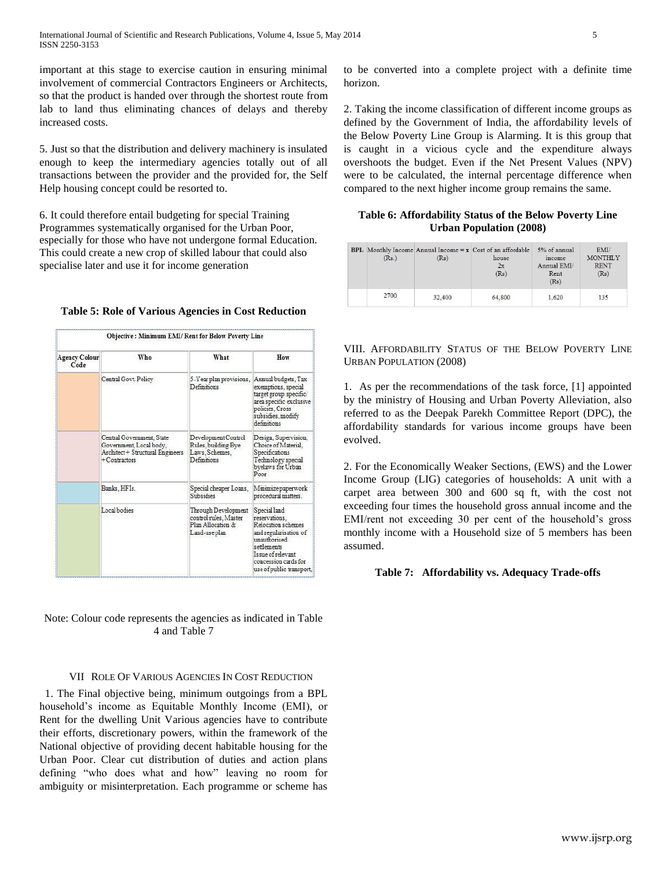important at this stage to exercise caution in ensuring minimal involvement of commercial Contractors Engineers or Architects, so that the product is handed over through the shortest route from lab to land thus eliminating chances of delays and thereby increased costs.

5. Just so that the distribution and delivery machinery is insulated enough to keep the intermediary agencies totally out of all transactions between the provider and the provided for, the Self Help housing concept could be resorted to.

6. It could therefore entail budgeting for special Training Programmes systematically organised for the Urban Poor, especially for those who have not undergone formal Education. This could create a new crop of skilled labour that could also specialise later and use it for income generation

| <b>Agency Colour</b><br>Code | Who                                                                                                         | What                                                                               | How                                                                                                                                                                                  |  |
|------------------------------|-------------------------------------------------------------------------------------------------------------|------------------------------------------------------------------------------------|--------------------------------------------------------------------------------------------------------------------------------------------------------------------------------------|--|
|                              | Central Govt. Policy                                                                                        | 5-Year plan provisions,<br>Definitions                                             | Annual budgets, Tax<br>exemptions, special<br>target group specific<br>area specific exclusive<br>policies, Cross<br>subsidies, modify<br>definitions                                |  |
|                              | Central Government, State<br>Government, Local body,<br>Architect + Structural Engineers<br>$+$ Contractors | Development Control<br>Rules, building Bye<br>Laws, Schemes,<br>Definitions        | Design, Supervision,<br>Choice of Material.<br>Specifications<br>Technology special<br>byelaws for Urban<br>Poor                                                                     |  |
|                              | Banks, HFIs.                                                                                                | Special cheaper Loans.<br><b>Subsidies</b>                                         | Minimize paperwork<br>procedural matters.                                                                                                                                            |  |
|                              | Local bodies                                                                                                | Through Development<br>control rules, Master<br>Plan Allocation &<br>Land-use plan | Special land<br>reservations.<br>Relocation schemes<br>and regularisation of<br>unauthorised<br>settlements<br>Issue of relevant<br>concession cards for<br>use of public transport. |  |

**Table 5: Role of Various Agencies in Cost Reduction**

Note: Colour code represents the agencies as indicated in Table 4 and Table 7

#### VII ROLE OF VARIOUS AGENCIES IN COST REDUCTION

 1. The Final objective being, minimum outgoings from a BPL household's income as Equitable Monthly Income (EMI), or Rent for the dwelling Unit Various agencies have to contribute their efforts, discretionary powers, within the framework of the National objective of providing decent habitable housing for the Urban Poor. Clear cut distribution of duties and action plans defining "who does what and how" leaving no room for ambiguity or misinterpretation. Each programme or scheme has

to be converted into a complete project with a definite time horizon.

2. Taking the income classification of different income groups as defined by the Government of India, the affordability levels of the Below Poverty Line Group is Alarming. It is this group that is caught in a vicious cycle and the expenditure always overshoots the budget. Even if the Net Present Values (NPV) were to be calculated, the internal percentage difference when compared to the next higher income group remains the same.

### **Table 6: Affordability Status of the Below Poverty Line Urban Population (2008)**

| (Rs.) | (Rs)   | <b>BPL</b> Monthly Income Annual Income $= x$ Cost of an affordable<br>house<br>2x<br>(Rs) | 5% of annual<br>income<br>Annual EMI/<br>Rent<br>(Rs) | EMI<br><b>MONTHLY</b><br><b>RENT</b><br>(Rs) |
|-------|--------|--------------------------------------------------------------------------------------------|-------------------------------------------------------|----------------------------------------------|
| 2700  | 32,400 | 64,800                                                                                     | 1.620                                                 | 135                                          |

VIII. AFFORDABILITY STATUS OF THE BELOW POVERTY LINE URBAN POPULATION (2008)

1. As per the recommendations of the task force, [1] appointed by the ministry of Housing and Urban Poverty Alleviation, also referred to as the Deepak Parekh Committee Report (DPC), the affordability standards for various income groups have been evolved.

2. For the Economically Weaker Sections, (EWS) and the Lower Income Group (LIG) categories of households: A unit with a carpet area between 300 and 600 sq ft, with the cost not exceeding four times the household gross annual income and the EMI/rent not exceeding 30 per cent of the household's gross monthly income with a Household size of 5 members has been assumed.

#### **Table 7: Affordability vs. Adequacy Trade-offs**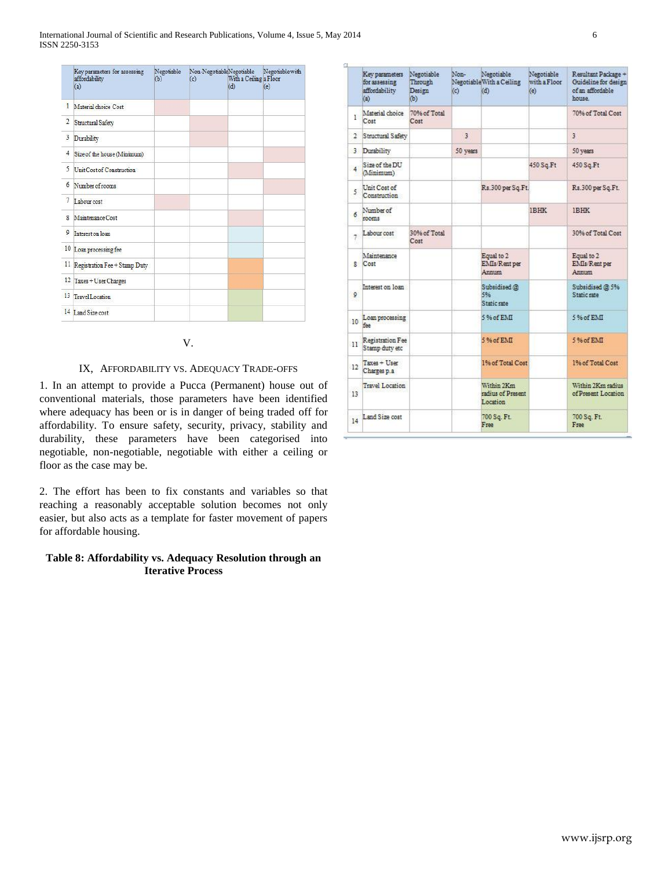zy.

|                | Key parameters for assessing<br>affordability<br>(a) | Negotiable<br>(b) | Non-NegotiableNegotiable<br>(c) | With a Ceiling a Floor<br>(d) | Negotiable with<br>(e) |
|----------------|------------------------------------------------------|-------------------|---------------------------------|-------------------------------|------------------------|
| 1              | Material choice Cost                                 |                   |                                 |                               |                        |
| $\overline{c}$ | Structural Safety                                    |                   |                                 |                               |                        |
| 3              | Durability                                           |                   |                                 |                               |                        |
| 4              | Size of the house (Minimum)                          |                   |                                 |                               |                        |
| 5              | Unit Cost of Construction                            |                   |                                 |                               |                        |
| 6              | Number of rooms                                      |                   |                                 |                               |                        |
| 7              | Labour cost                                          |                   |                                 |                               |                        |
| g              | Maintenance Cost                                     |                   |                                 |                               |                        |
| 9              | Interest on loan                                     |                   |                                 |                               |                        |
|                | 10 Loan processing fee                               |                   |                                 |                               |                        |
|                | 11 Registration Fee + Stamp Duty                     |                   |                                 |                               |                        |
|                | 12 Taxes + User Charges                              |                   |                                 |                               |                        |
| 13             | <b>Travel Location</b>                               |                   |                                 |                               |                        |
|                | 14 Land Size cost                                    |                   |                                 |                               |                        |

# V.

# IX, AFFORDABILITY VS. ADEQUACY TRADE-OFFS

1. In an attempt to provide a Pucca (Permanent) house out of conventional materials, those parameters have been identified where adequacy has been or is in danger of being traded off for affordability. To ensure safety, security, privacy, stability and durability, these parameters have been categorised into negotiable, non-negotiable, negotiable with either a ceiling or floor as the case may be.

2. The effort has been to fix constants and variables so that reaching a reasonably acceptable solution becomes not only easier, but also acts as a template for faster movement of papers for affordable housing.

# **Table 8: Affordability vs. Adequacy Resolution through an Iterative Process**

|                                         | Key parameters<br>for assessing<br>affordability<br>(a) | Negotiable<br>Through<br>Design<br>Ф) | Non-<br>(c)    | Negotiable<br>Negotiable With a Ceiling<br>(d) | Negotiable<br>with a Floor<br>(e) | Resultant Package +<br>Guideline for design<br>of an affordable<br>house. |
|-----------------------------------------|---------------------------------------------------------|---------------------------------------|----------------|------------------------------------------------|-----------------------------------|---------------------------------------------------------------------------|
| $\mathbf{L}$                            | Material choice<br>Cost                                 | 70% of Total<br>Cost                  |                |                                                |                                   | 70% of Total Cost                                                         |
| $\mathcal{I}^{\scriptscriptstyle \vee}$ | Structural Safety                                       |                                       | $\overline{3}$ |                                                |                                   | 3                                                                         |
|                                         | 3 Durability                                            |                                       | 50 years       |                                                |                                   | 50 years                                                                  |
| $\overline{4}$                          | Size of the DU<br>(Minimum)                             |                                       |                |                                                | 450 Sq.Ft                         | 450 Sq.Ft                                                                 |
| 5                                       | Unit Cost of<br>Construction                            |                                       |                | Rs.300 per Sq.Ft.                              |                                   | Rs.300 per Sq.Ft.                                                         |
| 6                                       | Number of<br>rooms                                      |                                       |                |                                                | <b>IBHK</b>                       | <b>IBHK</b>                                                               |
| 7                                       | Labour cost                                             | 30% of Total<br>Cost                  |                |                                                |                                   | 30% of Total Cost                                                         |
|                                         | Maintenance<br>R Cost                                   |                                       |                | Equal to 2<br><b>EMIs/Rent per</b><br>Annasm   |                                   | Equal to 2<br><b>EMIs/Rent per</b><br><b>Annunn</b>                       |
| 9                                       | Interest on loan                                        |                                       |                | Subsidised @<br>506<br>Static rate             |                                   | Subsidised @ 5%<br>Static rate                                            |
| 10                                      | Loan processing<br>faa                                  |                                       |                | 5% of EMI                                      |                                   | 5% of EMI                                                                 |
| 11                                      | Registration Fee<br>Stamp duty etc                      |                                       |                | 5% of RMT                                      |                                   | 5.% of EMI                                                                |
| 12                                      | Taxes + User<br>Charges p.a.                            |                                       |                | 1% of Total Cost                               |                                   | 1% of Total Cost                                                          |
| 13                                      | <b>Travel Location</b>                                  |                                       |                | Within 2Km<br>radius of Present<br>Location    |                                   | Within 2Km radius<br>of Present Location                                  |
| 14                                      | Land Size cost                                          |                                       |                | 700 Sq. Ft.<br>Free                            |                                   | 700 Sq. Ft.<br>Free                                                       |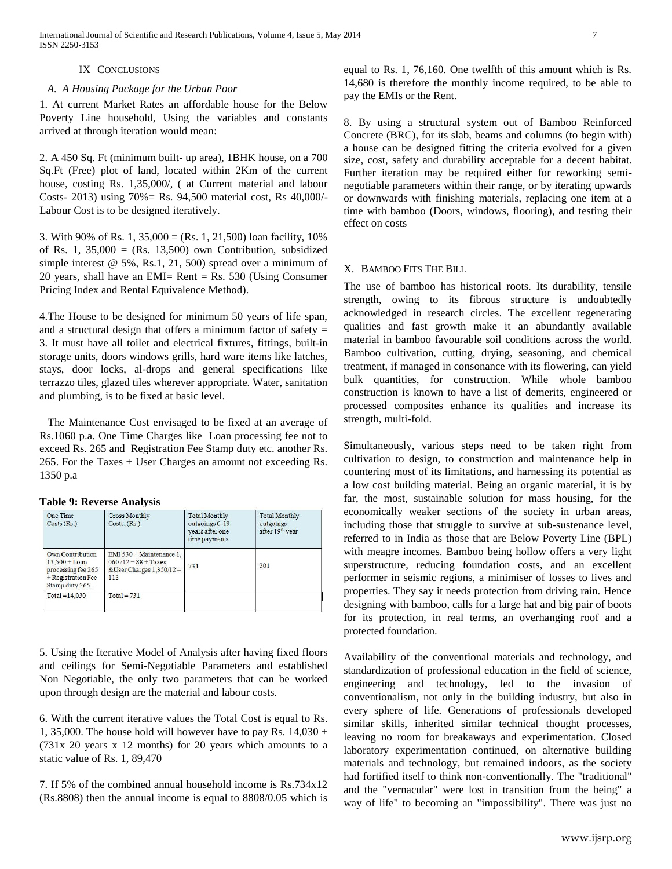## IX CONCLUSIONS

## *A. A Housing Package for the Urban Poor*

1. At current Market Rates an affordable house for the Below Poverty Line household, Using the variables and constants arrived at through iteration would mean:

2. A 450 Sq. Ft (minimum built- up area), 1BHK house, on a 700 Sq.Ft (Free) plot of land, located within 2Km of the current house, costing Rs. 1,35,000/, ( at Current material and labour Costs- 2013) using 70%= Rs. 94,500 material cost, Rs 40,000/- Labour Cost is to be designed iteratively.

3. With 90% of Rs. 1,  $35,000 = (Rs. 1, 21,500)$  loan facility,  $10\%$ of Rs. 1,  $35,000 = (Rs. 13,500)$  own Contribution, subsidized simple interest @ 5%, Rs.1, 21, 500) spread over a minimum of 20 years, shall have an EMI= Rent = Rs. 530 (Using Consumer Pricing Index and Rental Equivalence Method).

4.The House to be designed for minimum 50 years of life span, and a structural design that offers a minimum factor of safety  $=$ 3. It must have all toilet and electrical fixtures, fittings, built-in storage units, doors windows grills, hard ware items like latches, stays, door locks, al-drops and general specifications like terrazzo tiles, glazed tiles wherever appropriate. Water, sanitation and plumbing, is to be fixed at basic level.

 The Maintenance Cost envisaged to be fixed at an average of Rs.1060 p.a. One Time Charges like Loan processing fee not to exceed Rs. 265 and Registration Fee Stamp duty etc. another Rs. 265. For the Taxes + User Charges an amount not exceeding Rs. 1350 p.a

|  |  |  | <b>Table 9: Reverse Analysis</b> |
|--|--|--|----------------------------------|
|--|--|--|----------------------------------|

| One Time<br>Costs(Rs.)                                                                               | Gross Monthly<br>Costs. (Rs.)                                                           | <b>Total Monthly</b><br>outgoings 0-19<br>vears after one<br>time payments | <b>Total Monthly</b><br>outgoings<br>after 19th year |
|------------------------------------------------------------------------------------------------------|-----------------------------------------------------------------------------------------|----------------------------------------------------------------------------|------------------------------------------------------|
| Own Contribution<br>$13.500 +$ Loan<br>processing fee 265<br>$+$ Registration Fee<br>Stamp duty 265. | EMI 530 + Maintenance 1.<br>$060/12 = 88 + Taxes$<br>& User Charges $1,350/12 =$<br>113 | 731                                                                        | 201                                                  |
| $Total = 14.030$                                                                                     | $Total = 731$                                                                           |                                                                            |                                                      |

5. Using the Iterative Model of Analysis after having fixed floors and ceilings for Semi-Negotiable Parameters and established Non Negotiable, the only two parameters that can be worked upon through design are the material and labour costs.

6. With the current iterative values the Total Cost is equal to Rs. 1, 35,000. The house hold will however have to pay Rs.  $14,030 +$ (731x 20 years x 12 months) for 20 years which amounts to a static value of Rs. 1, 89,470

7. If 5% of the combined annual household income is Rs.734x12 (Rs.8808) then the annual income is equal to 8808/0.05 which is equal to Rs. 1, 76,160. One twelfth of this amount which is Rs. 14,680 is therefore the monthly income required, to be able to pay the EMIs or the Rent.

8. By using a structural system out of Bamboo Reinforced Concrete (BRC), for its slab, beams and columns (to begin with) a house can be designed fitting the criteria evolved for a given size, cost, safety and durability acceptable for a decent habitat. Further iteration may be required either for reworking seminegotiable parameters within their range, or by iterating upwards or downwards with finishing materials, replacing one item at a time with bamboo (Doors, windows, flooring), and testing their effect on costs

# X. BAMBOO FITS THE BILL

The use of bamboo has historical roots. Its durability, tensile strength, owing to its fibrous structure is undoubtedly acknowledged in research circles. The excellent regenerating qualities and fast growth make it an abundantly available material in bamboo favourable soil conditions across the world. Bamboo cultivation, cutting, drying, seasoning, and chemical treatment, if managed in consonance with its flowering, can yield bulk quantities, for construction. While whole bamboo construction is known to have a list of demerits, engineered or processed composites enhance its qualities and increase its strength, multi-fold.

Simultaneously, various steps need to be taken right from cultivation to design, to construction and maintenance help in countering most of its limitations, and harnessing its potential as a low cost building material. Being an organic material, it is by far, the most, sustainable solution for mass housing, for the economically weaker sections of the society in urban areas, including those that struggle to survive at sub-sustenance level, referred to in India as those that are Below Poverty Line (BPL) with meagre incomes. Bamboo being hollow offers a very light superstructure, reducing foundation costs, and an excellent performer in seismic regions, a minimiser of losses to lives and properties. They say it needs protection from driving rain. Hence designing with bamboo, calls for a large hat and big pair of boots for its protection, in real terms, an overhanging roof and a protected foundation.

Availability of the conventional materials and technology, and standardization of professional education in the field of science, engineering and technology, led to the invasion of conventionalism, not only in the building industry, but also in every sphere of life. Generations of professionals developed similar skills, inherited similar technical thought processes, leaving no room for breakaways and experimentation. Closed laboratory experimentation continued, on alternative building materials and technology, but remained indoors, as the society had fortified itself to think non-conventionally. The "traditional" and the "vernacular" were lost in transition from the being" a way of life" to becoming an "impossibility". There was just no